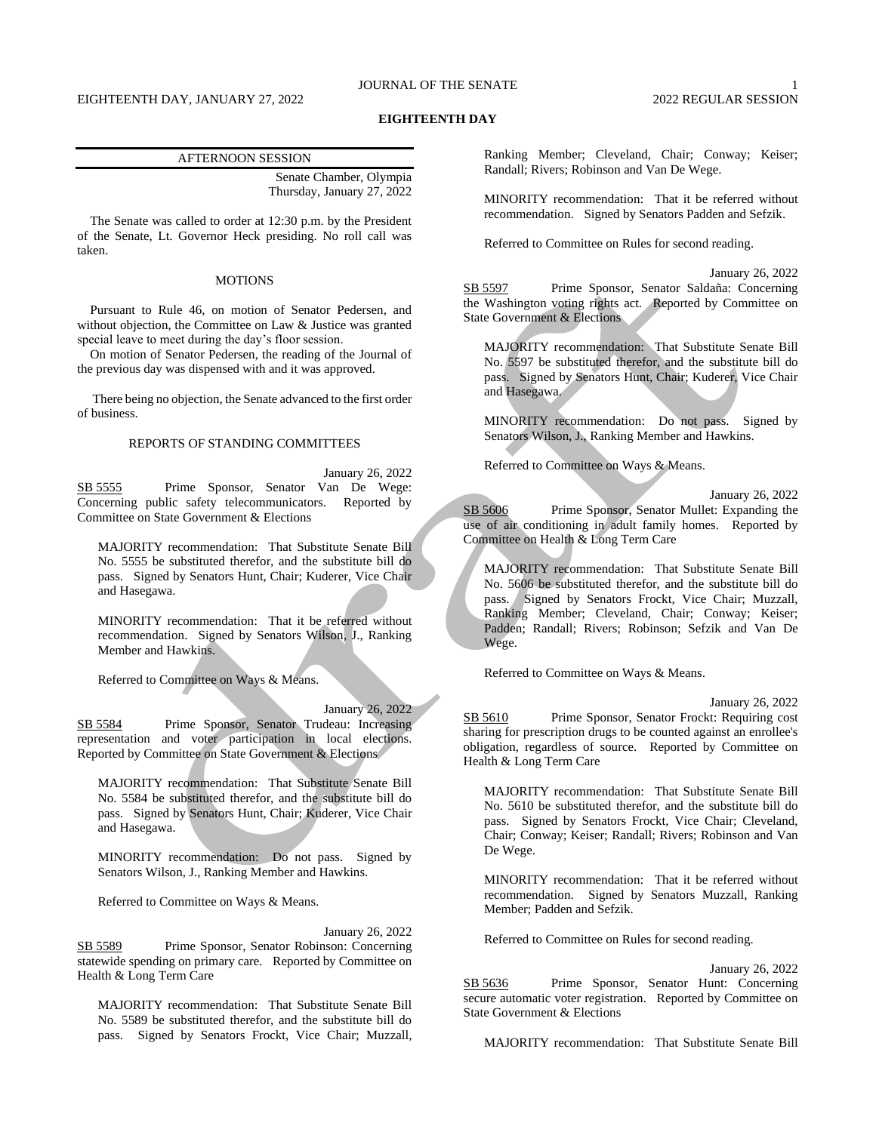## JOURNAL OF THE SENATE 1

### **EIGHTEENTH DAY**

#### AFTERNOON SESSION

Senate Chamber, Olympia Thursday, January 27, 2022

The Senate was called to order at 12:30 p.m. by the President of the Senate, Lt. Governor Heck presiding. No roll call was taken.

### MOTIONS

Pursuant to Rule 46, on motion of Senator Pedersen, and without objection, the Committee on Law & Justice was granted special leave to meet during the day's floor session.

On motion of Senator Pedersen, the reading of the Journal of the previous day was dispensed with and it was approved.

There being no objection, the Senate advanced to the first order of business.

### REPORTS OF STANDING COMMITTEES

January 26, 2022 SB 5555 Prime Sponsor, Senator Van De Wege: Concerning public safety telecommunicators. Reported by Committee on State Government & Elections

MAJORITY recommendation: That Substitute Senate Bill No. 5555 be substituted therefor, and the substitute bill do pass. Signed by Senators Hunt, Chair; Kuderer, Vice Chair and Hasegawa.

MINORITY recommendation: That it be referred without recommendation. Signed by Senators Wilson, J., Ranking Member and Hawkins.

Referred to Committee on Ways & Means.

January 26, 2022 SB 5584 Prime Sponsor, Senator Trudeau: Increasing representation and voter participation in local elections. Reported by Committee on State Government & Elections

MAJORITY recommendation: That Substitute Senate Bill No. 5584 be substituted therefor, and the substitute bill do pass. Signed by Senators Hunt, Chair; Kuderer, Vice Chair and Hasegawa.

MINORITY recommendation: Do not pass. Signed by Senators Wilson, J., Ranking Member and Hawkins.

Referred to Committee on Ways & Means.

January 26, 2022 SB 5589 Prime Sponsor, Senator Robinson: Concerning statewide spending on primary care. Reported by Committee on Health & Long Term Care

MAJORITY recommendation: That Substitute Senate Bill No. 5589 be substituted therefor, and the substitute bill do pass. Signed by Senators Frockt, Vice Chair; Muzzall, Ranking Member; Cleveland, Chair; Conway; Keiser; Randall; Rivers; Robinson and Van De Wege.

MINORITY recommendation: That it be referred without recommendation. Signed by Senators Padden and Sefzik.

Referred to Committee on Rules for second reading.

January 26, 2022 SB 5597 Prime Sponsor, Senator Saldaña: Concerning the Washington voting rights act. Reported by Committee on State Government & Elections

MAJORITY recommendation: That Substitute Senate Bill No. 5597 be substituted therefor, and the substitute bill do pass. Signed by Senators Hunt, Chair; Kuderer, Vice Chair and Hasegawa.

MINORITY recommendation: Do not pass. Signed by Senators Wilson, J., Ranking Member and Hawkins.

Referred to Committee on Ways & Means.

January 26, 2022 SB 5606 Prime Sponsor, Senator Mullet: Expanding the use of air conditioning in adult family homes. Reported by Committee on Health & Long Term Care

MAJORITY recommendation: That Substitute Senate Bill No. 5606 be substituted therefor, and the substitute bill do pass. Signed by Senators Frockt, Vice Chair; Muzzall, Ranking Member; Cleveland, Chair; Conway; Keiser; Padden; Randall; Rivers; Robinson; Sefzik and Van De Wege.

Referred to Committee on Ways & Means.

January 26, 2022 SB 5610 Prime Sponsor, Senator Frockt: Requiring cost sharing for prescription drugs to be counted against an enrollee's obligation, regardless of source. Reported by Committee on Health & Long Term Care

MAJORITY recommendation: That Substitute Senate Bill No. 5610 be substituted therefor, and the substitute bill do pass. Signed by Senators Frockt, Vice Chair; Cleveland, Chair; Conway; Keiser; Randall; Rivers; Robinson and Van De Wege.

MINORITY recommendation: That it be referred without recommendation. Signed by Senators Muzzall, Ranking Member; Padden and Sefzik.

Referred to Committee on Rules for second reading.

January 26, 2022 SB 5636 Prime Sponsor, Senator Hunt: Concerning secure automatic voter registration. Reported by Committee on State Government & Elections

MAJORITY recommendation: That Substitute Senate Bill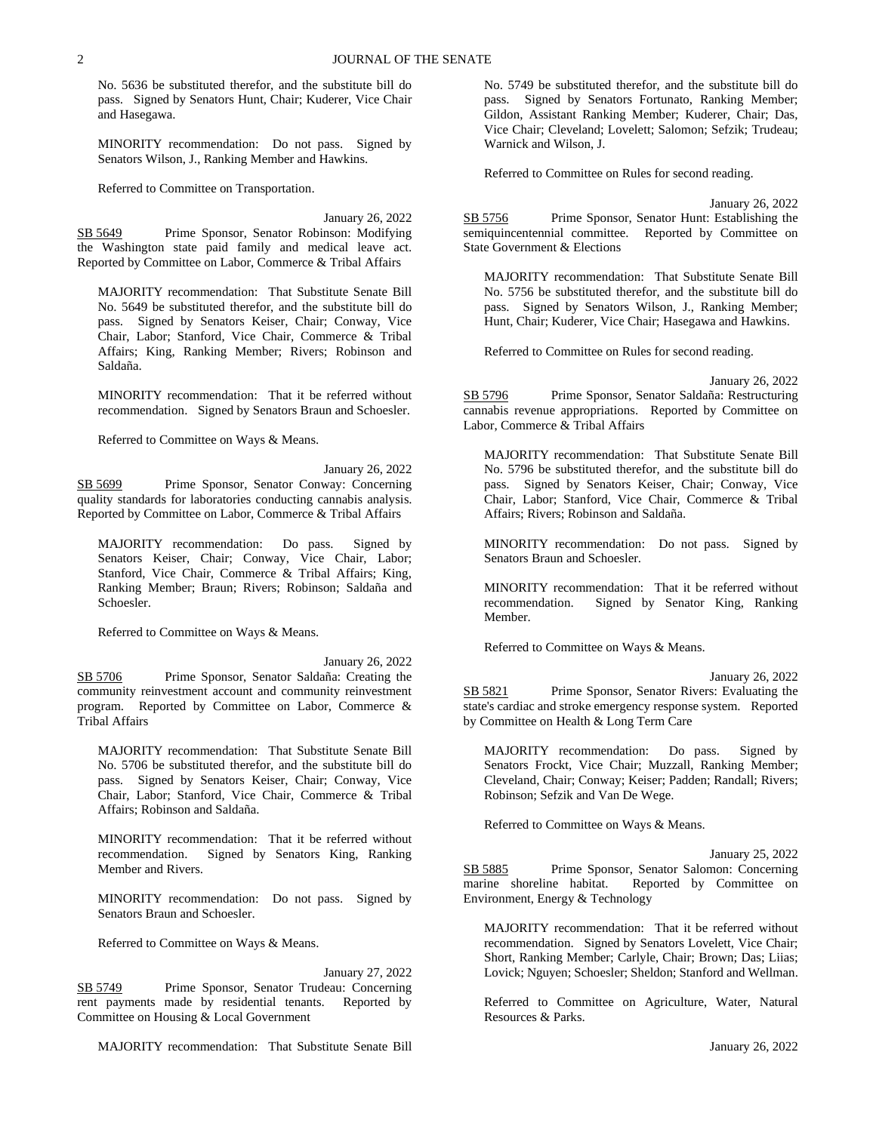No. 5636 be substituted therefor, and the substitute bill do pass. Signed by Senators Hunt, Chair; Kuderer, Vice Chair and Hasegawa.

MINORITY recommendation: Do not pass. Signed by Senators Wilson, J., Ranking Member and Hawkins.

Referred to Committee on Transportation.

January 26, 2022 SB 5649 Prime Sponsor, Senator Robinson: Modifying the Washington state paid family and medical leave act. Reported by Committee on Labor, Commerce & Tribal Affairs

MAJORITY recommendation: That Substitute Senate Bill No. 5649 be substituted therefor, and the substitute bill do pass. Signed by Senators Keiser, Chair; Conway, Vice Chair, Labor; Stanford, Vice Chair, Commerce & Tribal Affairs; King, Ranking Member; Rivers; Robinson and Saldaña.

MINORITY recommendation: That it be referred without recommendation. Signed by Senators Braun and Schoesler.

Referred to Committee on Ways & Means.

January 26, 2022 SB 5699 Prime Sponsor, Senator Conway: Concerning quality standards for laboratories conducting cannabis analysis. Reported by Committee on Labor, Commerce & Tribal Affairs

MAJORITY recommendation: Do pass. Signed by Senators Keiser, Chair; Conway, Vice Chair, Labor; Stanford, Vice Chair, Commerce & Tribal Affairs; King, Ranking Member; Braun; Rivers; Robinson; Saldaña and Schoesler.

Referred to Committee on Ways & Means.

January 26, 2022 SB 5706 Prime Sponsor, Senator Saldaña: Creating the community reinvestment account and community reinvestment program. Reported by Committee on Labor, Commerce & Tribal Affairs

MAJORITY recommendation: That Substitute Senate Bill No. 5706 be substituted therefor, and the substitute bill do pass. Signed by Senators Keiser, Chair; Conway, Vice Chair, Labor; Stanford, Vice Chair, Commerce & Tribal Affairs; Robinson and Saldaña.

MINORITY recommendation: That it be referred without recommendation. Signed by Senators King, Ranking Member and Rivers.

MINORITY recommendation: Do not pass. Signed by Senators Braun and Schoesler.

Referred to Committee on Ways & Means.

January 27, 2022 SB 5749 Prime Sponsor, Senator Trudeau: Concerning rent payments made by residential tenants. Reported by Committee on Housing & Local Government

MAJORITY recommendation: That Substitute Senate Bill

No. 5749 be substituted therefor, and the substitute bill do pass. Signed by Senators Fortunato, Ranking Member; Gildon, Assistant Ranking Member; Kuderer, Chair; Das, Vice Chair; Cleveland; Lovelett; Salomon; Sefzik; Trudeau; Warnick and Wilson, J.

Referred to Committee on Rules for second reading.

January 26, 2022 SB 5756 Prime Sponsor, Senator Hunt: Establishing the semiquincentennial committee. Reported by Committee on State Government & Elections

MAJORITY recommendation: That Substitute Senate Bill No. 5756 be substituted therefor, and the substitute bill do pass. Signed by Senators Wilson, J., Ranking Member; Hunt, Chair; Kuderer, Vice Chair; Hasegawa and Hawkins.

Referred to Committee on Rules for second reading.

January 26, 2022 SB 5796 Prime Sponsor, Senator Saldaña: Restructuring cannabis revenue appropriations. Reported by Committee on Labor, Commerce & Tribal Affairs

MAJORITY recommendation: That Substitute Senate Bill No. 5796 be substituted therefor, and the substitute bill do pass. Signed by Senators Keiser, Chair; Conway, Vice Chair, Labor; Stanford, Vice Chair, Commerce & Tribal Affairs; Rivers; Robinson and Saldaña.

MINORITY recommendation: Do not pass. Signed by Senators Braun and Schoesler.

MINORITY recommendation: That it be referred without recommendation. Signed by Senator King, Ranking Member.

Referred to Committee on Ways & Means.

January 26, 2022 SB 5821 Prime Sponsor, Senator Rivers: Evaluating the state's cardiac and stroke emergency response system. Reported by Committee on Health & Long Term Care

MAJORITY recommendation: Do pass. Signed by Senators Frockt, Vice Chair; Muzzall, Ranking Member; Cleveland, Chair; Conway; Keiser; Padden; Randall; Rivers; Robinson; Sefzik and Van De Wege.

Referred to Committee on Ways & Means.

January 25, 2022 SB 5885 Prime Sponsor, Senator Salomon: Concerning marine shoreline habitat. Reported by Committee on Environment, Energy & Technology

MAJORITY recommendation: That it be referred without recommendation. Signed by Senators Lovelett, Vice Chair; Short, Ranking Member; Carlyle, Chair; Brown; Das; Liias; Lovick; Nguyen; Schoesler; Sheldon; Stanford and Wellman.

Referred to Committee on Agriculture, Water, Natural Resources & Parks.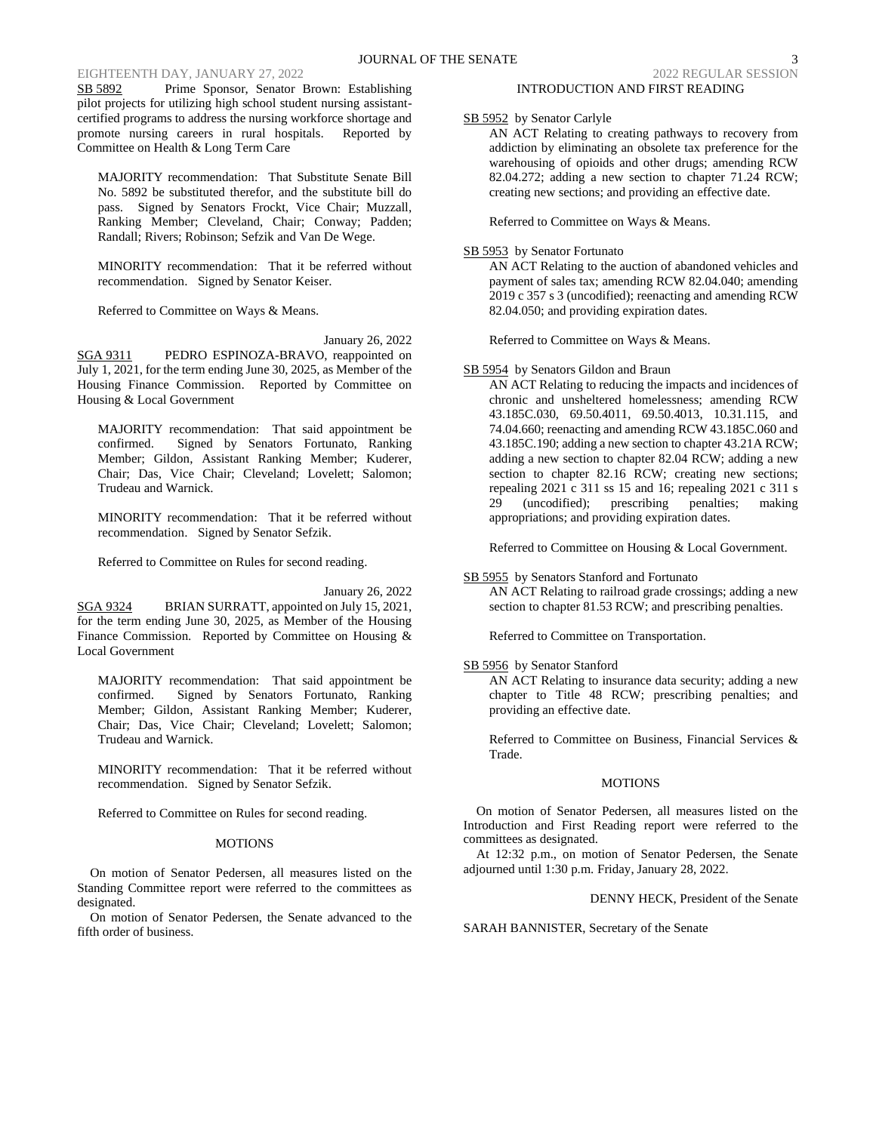## EIGHTEENTH DAY, JANUARY 27, 2022 2022 2022 2022 2022 REGULAR SESSION

SB 5892 Prime Sponsor, Senator Brown: Establishing pilot projects for utilizing high school student nursing assistantcertified programs to address the nursing workforce shortage and promote nursing careers in rural hospitals. Reported by Committee on Health & Long Term Care

MAJORITY recommendation: That Substitute Senate Bill No. 5892 be substituted therefor, and the substitute bill do pass. Signed by Senators Frockt, Vice Chair; Muzzall, Ranking Member; Cleveland, Chair; Conway; Padden; Randall; Rivers; Robinson; Sefzik and Van De Wege.

MINORITY recommendation: That it be referred without recommendation. Signed by Senator Keiser.

Referred to Committee on Ways & Means.

January 26, 2022 SGA 9311 PEDRO ESPINOZA-BRAVO, reappointed on July 1, 2021, for the term ending June 30, 2025, as Member of the Housing Finance Commission. Reported by Committee on Housing & Local Government

MAJORITY recommendation: That said appointment be confirmed. Signed by Senators Fortunato, Ranking Member; Gildon, Assistant Ranking Member; Kuderer, Chair; Das, Vice Chair; Cleveland; Lovelett; Salomon; Trudeau and Warnick.

MINORITY recommendation: That it be referred without recommendation. Signed by Senator Sefzik.

Referred to Committee on Rules for second reading.

January 26, 2022 SGA 9324 BRIAN SURRATT, appointed on July 15, 2021, for the term ending June 30, 2025, as Member of the Housing Finance Commission. Reported by Committee on Housing & Local Government

MAJORITY recommendation: That said appointment be confirmed. Signed by Senators Fortunato, Ranking Member; Gildon, Assistant Ranking Member; Kuderer, Chair; Das, Vice Chair; Cleveland; Lovelett; Salomon; Trudeau and Warnick.

MINORITY recommendation: That it be referred without recommendation. Signed by Senator Sefzik.

Referred to Committee on Rules for second reading.

## MOTIONS

On motion of Senator Pedersen, all measures listed on the Standing Committee report were referred to the committees as designated.

On motion of Senator Pedersen, the Senate advanced to the fifth order of business.

# SB 5952 by Senator Carlyle

AN ACT Relating to creating pathways to recovery from addiction by eliminating an obsolete tax preference for the warehousing of opioids and other drugs; amending RCW 82.04.272; adding a new section to chapter 71.24 RCW; creating new sections; and providing an effective date.

Referred to Committee on Ways & Means.

# SB 5953 by Senator Fortunato

AN ACT Relating to the auction of abandoned vehicles and payment of sales tax; amending RCW 82.04.040; amending 2019 c 357 s 3 (uncodified); reenacting and amending RCW 82.04.050; and providing expiration dates.

Referred to Committee on Ways & Means.

# SB 5954 by Senators Gildon and Braun

AN ACT Relating to reducing the impacts and incidences of chronic and unsheltered homelessness; amending RCW 43.185C.030, 69.50.4011, 69.50.4013, 10.31.115, and 74.04.660; reenacting and amending RCW 43.185C.060 and 43.185C.190; adding a new section to chapter 43.21A RCW; adding a new section to chapter 82.04 RCW; adding a new section to chapter 82.16 RCW; creating new sections; repealing 2021 c 311 ss 15 and 16; repealing 2021 c 311 s 29 (uncodified); prescribing penalties; making appropriations; and providing expiration dates.

Referred to Committee on Housing & Local Government.

### SB 5955 by Senators Stanford and Fortunato AN ACT Relating to railroad grade crossings; adding a new section to chapter 81.53 RCW; and prescribing penalties.

Referred to Committee on Transportation.

# SB 5956 by Senator Stanford

AN ACT Relating to insurance data security; adding a new chapter to Title 48 RCW; prescribing penalties; and providing an effective date.

Referred to Committee on Business, Financial Services & Trade.

#### MOTIONS

On motion of Senator Pedersen, all measures listed on the Introduction and First Reading report were referred to the committees as designated.

At 12:32 p.m., on motion of Senator Pedersen, the Senate adjourned until 1:30 p.m. Friday, January 28, 2022.

# DENNY HECK, President of the Senate

SARAH BANNISTER, Secretary of the Senate